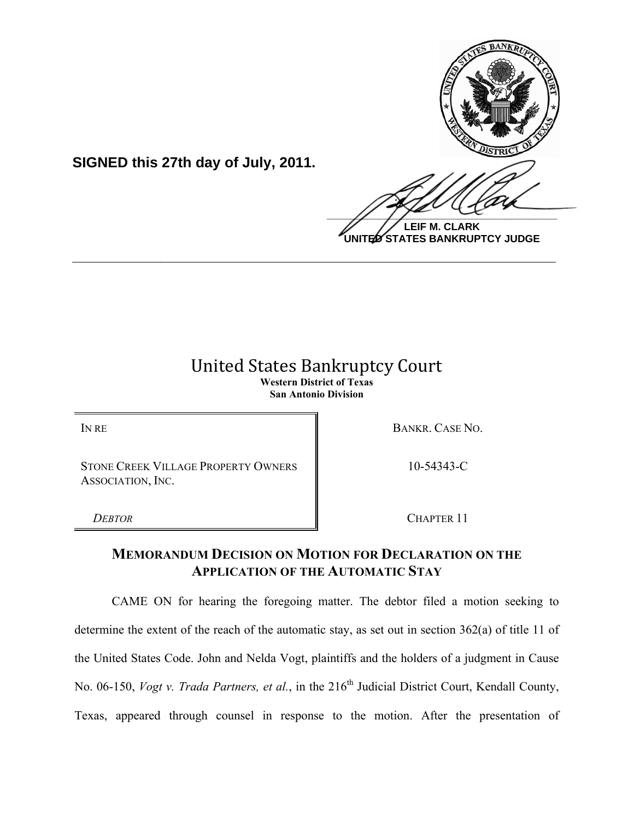

**LEIF M. CLARK UNITED STATES BANKRUPTCY JUDGE**

## **United States Bankruptcy Court Western District of Texas San Antonio Division**

**\_\_\_\_\_\_\_\_\_\_\_\_\_\_\_\_\_\_\_\_\_\_\_\_\_\_\_\_\_\_\_\_\_\_\_\_\_\_\_\_\_\_\_\_\_\_\_\_\_\_\_\_\_\_\_\_\_\_\_\_**

IN RE BANKR. CASE NO.

STONE CREEK VILLAGE PROPERTY OWNERS ASSOCIATION, INC.

**SIGNED this 27th day of July, 2011.**

10-54343-C

*DEBTOR* CHAPTER 11

## **MEMORANDUM DECISION ON MOTION FOR DECLARATION ON THE APPLICATION OF THE AUTOMATIC STAY**

CAME ON for hearing the foregoing matter. The debtor filed a motion seeking to determine the extent of the reach of the automatic stay, as set out in section 362(a) of title 11 of the United States Code. John and Nelda Vogt, plaintiffs and the holders of a judgment in Cause No. 06-150, *Vogt v. Trada Partners, et al.*, in the 216<sup>th</sup> Judicial District Court, Kendall County, Texas, appeared through counsel in response to the motion. After the presentation of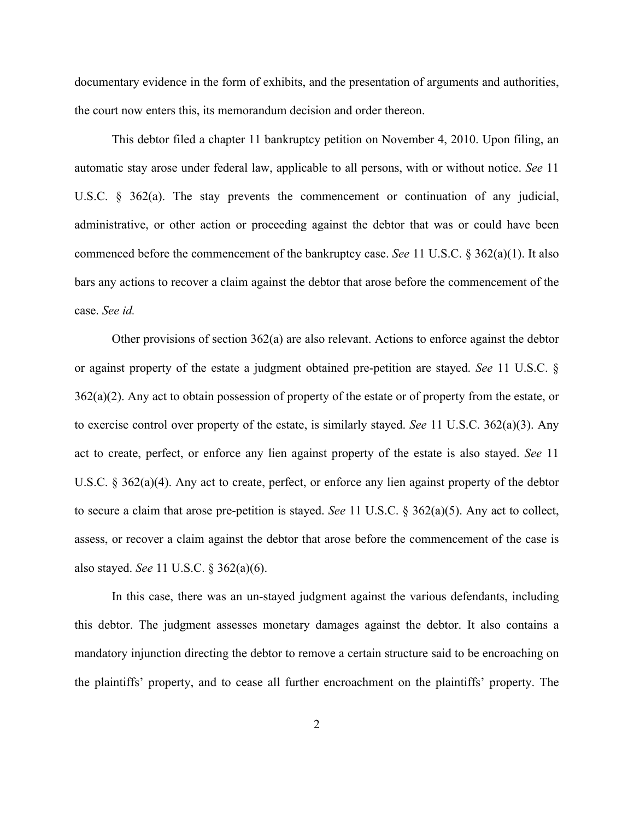documentary evidence in the form of exhibits, and the presentation of arguments and authorities, the court now enters this, its memorandum decision and order thereon.

This debtor filed a chapter 11 bankruptcy petition on November 4, 2010. Upon filing, an automatic stay arose under federal law, applicable to all persons, with or without notice. *See* 11 U.S.C. § 362(a). The stay prevents the commencement or continuation of any judicial, administrative, or other action or proceeding against the debtor that was or could have been commenced before the commencement of the bankruptcy case. *See* 11 U.S.C. § 362(a)(1). It also bars any actions to recover a claim against the debtor that arose before the commencement of the case. *See id.*

Other provisions of section 362(a) are also relevant. Actions to enforce against the debtor or against property of the estate a judgment obtained pre-petition are stayed. *See* 11 U.S.C. §  $362(a)(2)$ . Any act to obtain possession of property of the estate or of property from the estate, or to exercise control over property of the estate, is similarly stayed. *See* 11 U.S.C. 362(a)(3). Any act to create, perfect, or enforce any lien against property of the estate is also stayed. *See* 11 U.S.C. § 362(a)(4). Any act to create, perfect, or enforce any lien against property of the debtor to secure a claim that arose pre-petition is stayed. *See* 11 U.S.C. § 362(a)(5). Any act to collect, assess, or recover a claim against the debtor that arose before the commencement of the case is also stayed. *See* 11 U.S.C. § 362(a)(6).

In this case, there was an un-stayed judgment against the various defendants, including this debtor. The judgment assesses monetary damages against the debtor. It also contains a mandatory injunction directing the debtor to remove a certain structure said to be encroaching on the plaintiffs' property, and to cease all further encroachment on the plaintiffs' property. The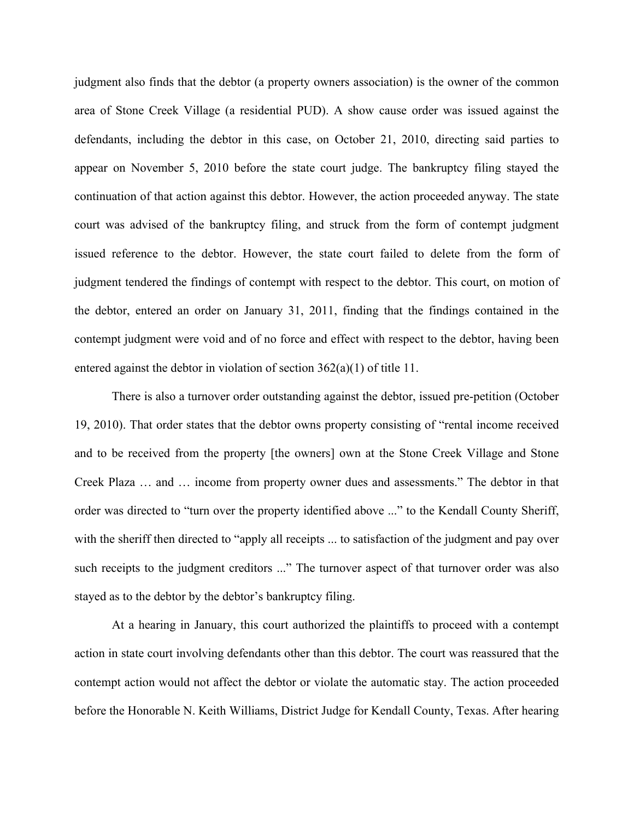judgment also finds that the debtor (a property owners association) is the owner of the common area of Stone Creek Village (a residential PUD). A show cause order was issued against the defendants, including the debtor in this case, on October 21, 2010, directing said parties to appear on November 5, 2010 before the state court judge. The bankruptcy filing stayed the continuation of that action against this debtor. However, the action proceeded anyway. The state court was advised of the bankruptcy filing, and struck from the form of contempt judgment issued reference to the debtor. However, the state court failed to delete from the form of judgment tendered the findings of contempt with respect to the debtor. This court, on motion of the debtor, entered an order on January 31, 2011, finding that the findings contained in the contempt judgment were void and of no force and effect with respect to the debtor, having been entered against the debtor in violation of section 362(a)(1) of title 11.

There is also a turnover order outstanding against the debtor, issued pre-petition (October 19, 2010). That order states that the debtor owns property consisting of "rental income received and to be received from the property [the owners] own at the Stone Creek Village and Stone Creek Plaza … and … income from property owner dues and assessments." The debtor in that order was directed to "turn over the property identified above ..." to the Kendall County Sheriff, with the sheriff then directed to "apply all receipts ... to satisfaction of the judgment and pay over such receipts to the judgment creditors ..." The turnover aspect of that turnover order was also stayed as to the debtor by the debtor's bankruptcy filing.

At a hearing in January, this court authorized the plaintiffs to proceed with a contempt action in state court involving defendants other than this debtor. The court was reassured that the contempt action would not affect the debtor or violate the automatic stay. The action proceeded before the Honorable N. Keith Williams, District Judge for Kendall County, Texas. After hearing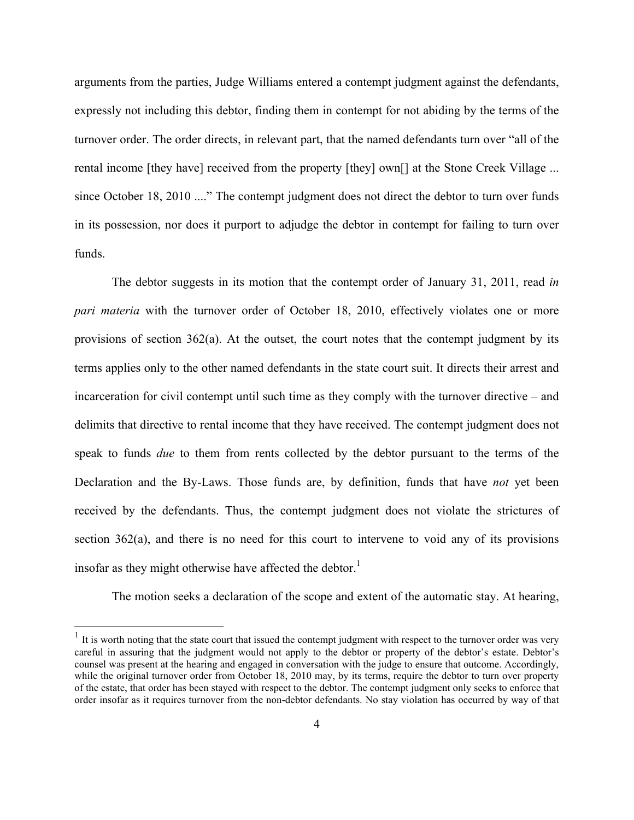arguments from the parties, Judge Williams entered a contempt judgment against the defendants, expressly not including this debtor, finding them in contempt for not abiding by the terms of the turnover order. The order directs, in relevant part, that the named defendants turn over "all of the rental income [they have] received from the property [they] own[] at the Stone Creek Village ... since October 18, 2010 ...." The contempt judgment does not direct the debtor to turn over funds in its possession, nor does it purport to adjudge the debtor in contempt for failing to turn over funds.

The debtor suggests in its motion that the contempt order of January 31, 2011, read *in pari materia* with the turnover order of October 18, 2010, effectively violates one or more provisions of section  $362(a)$ . At the outset, the court notes that the contempt judgment by its terms applies only to the other named defendants in the state court suit. It directs their arrest and incarceration for civil contempt until such time as they comply with the turnover directive – and delimits that directive to rental income that they have received. The contempt judgment does not speak to funds *due* to them from rents collected by the debtor pursuant to the terms of the Declaration and the By-Laws. Those funds are, by definition, funds that have *not* yet been received by the defendants. Thus, the contempt judgment does not violate the strictures of section 362(a), and there is no need for this court to intervene to void any of its provisions insofar as they might otherwise have affected the debtor. $<sup>1</sup>$ </sup>

The motion seeks a declaration of the scope and extent of the automatic stay. At hearing,

 $<sup>1</sup>$  It is worth noting that the state court that issued the contempt judgment with respect to the turnover order was very</sup> careful in assuring that the judgment would not apply to the debtor or property of the debtor's estate. Debtor's counsel was present at the hearing and engaged in conversation with the judge to ensure that outcome. Accordingly, while the original turnover order from October 18, 2010 may, by its terms, require the debtor to turn over property of the estate, that order has been stayed with respect to the debtor. The contempt judgment only seeks to enforce that order insofar as it requires turnover from the non-debtor defendants. No stay violation has occurred by way of that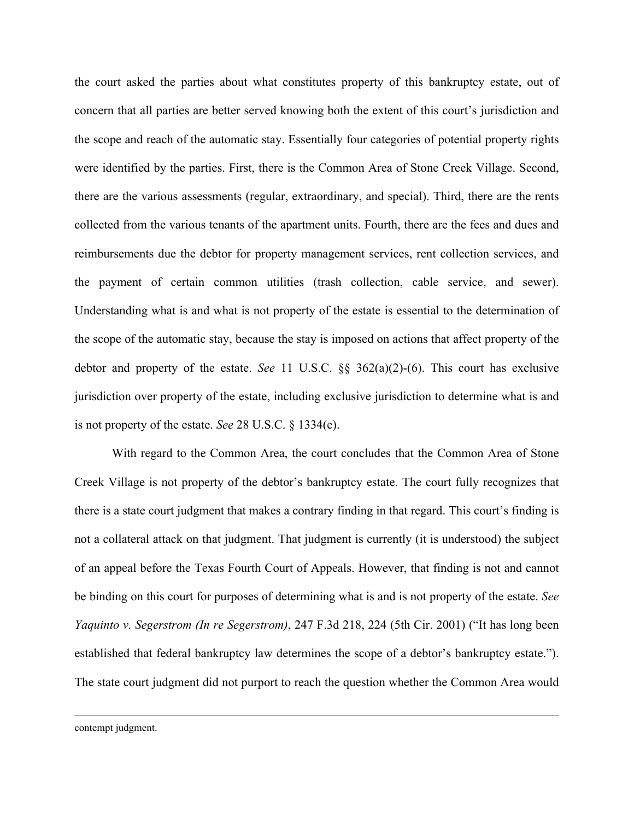the court asked the parties about what constitutes property of this bankruptcy estate, out of concern that all parties are better served knowing both the extent of this court's jurisdiction and the scope and reach of the automatic stay. Essentially four categories of potential property rights were identified by the parties. First, there is the Common Area of Stone Creek Village. Second, there are the various assessments (regular, extraordinary, and special). Third, there are the rents collected from the various tenants of the apartment units. Fourth, there are the fees and dues and reimbursements due the debtor for property management services, rent collection services, and the payment of certain common utilities (trash collection, cable service, and sewer). Understanding what is and what is not property of the estate is essential to the determination of the scope of the automatic stay, because the stay is imposed on actions that affect property of the debtor and property of the estate. *See* 11 U.S.C. §§ 362(a)(2)-(6). This court has exclusive jurisdiction over property of the estate, including exclusive jurisdiction to determine what is and is not property of the estate. *See* 28 U.S.C. § 1334(e).

With regard to the Common Area, the court concludes that the Common Area of Stone Creek Village is not property of the debtor's bankruptcy estate. The court fully recognizes that there is a state court judgment that makes a contrary finding in that regard. This court's finding is not a collateral attack on that judgment. That judgment is currently (it is understood) the subject of an appeal before the Texas Fourth Court of Appeals. However, that finding is not and cannot be binding on this court for purposes of determining what is and is not property of the estate. *See Yaquinto v. Segerstrom (In re Segerstrom)*, 247 F.3d 218, 224 (5th Cir. 2001) ("It has long been established that federal bankruptcy law determines the scope of a debtor's bankruptcy estate."). The state court judgment did not purport to reach the question whether the Common Area would

contempt judgment.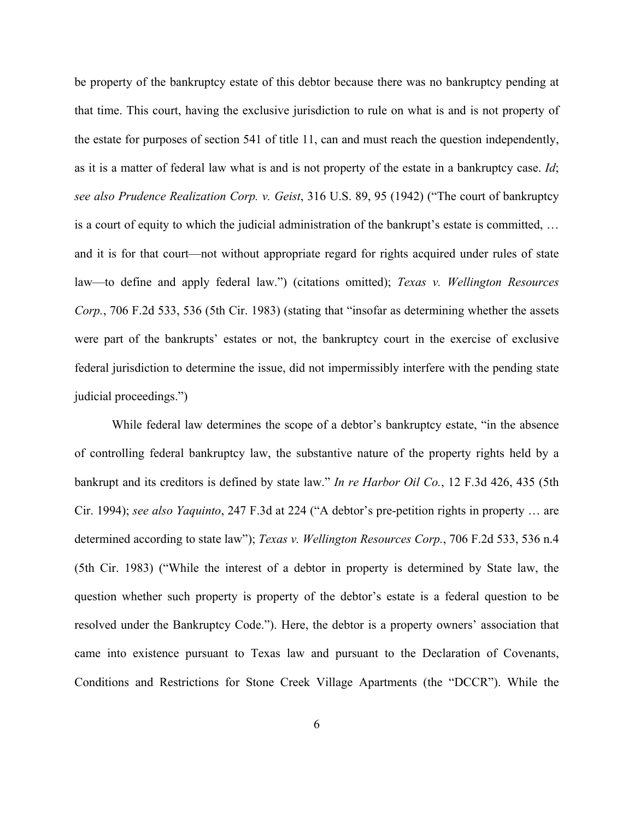be property of the bankruptcy estate of this debtor because there was no bankruptcy pending at that time. This court, having the exclusive jurisdiction to rule on what is and is not property of the estate for purposes of section 541 of title 11, can and must reach the question independently, as it is a matter of federal law what is and is not property of the estate in a bankruptcy case. *Id*; *see also Prudence Realization Corp. v. Geist*, 316 U.S. 89, 95 (1942) ("The court of bankruptcy is a court of equity to which the judicial administration of the bankrupt's estate is committed, … and it is for that court—not without appropriate regard for rights acquired under rules of state law—to define and apply federal law.") (citations omitted); *Texas v. Wellington Resources Corp.*, 706 F.2d 533, 536 (5th Cir. 1983) (stating that "insofar as determining whether the assets were part of the bankrupts' estates or not, the bankruptcy court in the exercise of exclusive federal jurisdiction to determine the issue, did not impermissibly interfere with the pending state judicial proceedings.")

While federal law determines the scope of a debtor's bankruptcy estate, "in the absence of controlling federal bankruptcy law, the substantive nature of the property rights held by a bankrupt and its creditors is defined by state law." *In re Harbor Oil Co.*, 12 F.3d 426, 435 (5th Cir. 1994); *see also Yaquinto*, 247 F.3d at 224 ("A debtor's pre-petition rights in property … are determined according to state law"); *Texas v. Wellington Resources Corp.*, 706 F.2d 533, 536 n.4 (5th Cir. 1983) ("While the interest of a debtor in property is determined by State law, the question whether such property is property of the debtor's estate is a federal question to be resolved under the Bankruptcy Code."). Here, the debtor is a property owners' association that came into existence pursuant to Texas law and pursuant to the Declaration of Covenants, Conditions and Restrictions for Stone Creek Village Apartments (the "DCCR"). While the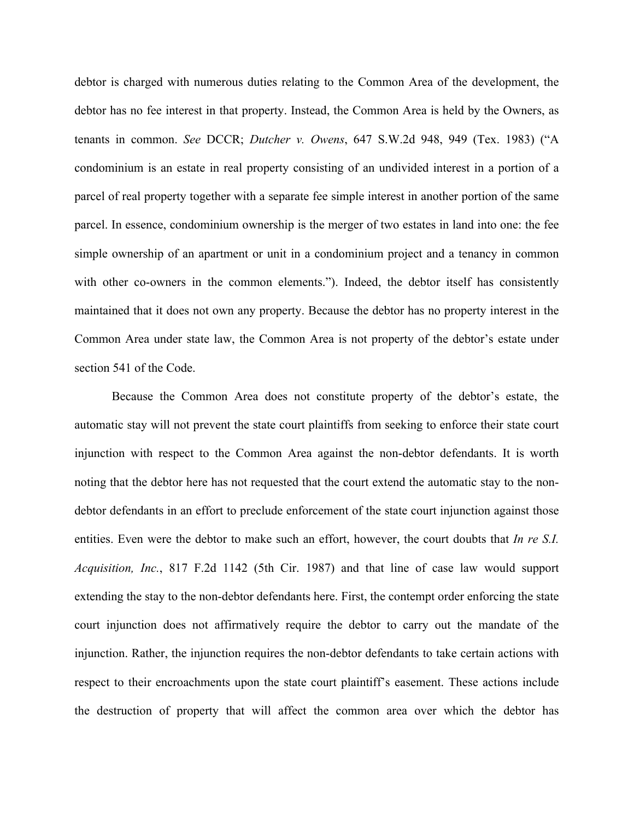debtor is charged with numerous duties relating to the Common Area of the development, the debtor has no fee interest in that property. Instead, the Common Area is held by the Owners, as tenants in common. *See* DCCR; *Dutcher v. Owens*, 647 S.W.2d 948, 949 (Tex. 1983) ("A condominium is an estate in real property consisting of an undivided interest in a portion of a parcel of real property together with a separate fee simple interest in another portion of the same parcel. In essence, condominium ownership is the merger of two estates in land into one: the fee simple ownership of an apartment or unit in a condominium project and a tenancy in common with other co-owners in the common elements."). Indeed, the debtor itself has consistently maintained that it does not own any property. Because the debtor has no property interest in the Common Area under state law, the Common Area is not property of the debtor's estate under section 541 of the Code.

Because the Common Area does not constitute property of the debtor's estate, the automatic stay will not prevent the state court plaintiffs from seeking to enforce their state court injunction with respect to the Common Area against the non-debtor defendants. It is worth noting that the debtor here has not requested that the court extend the automatic stay to the nondebtor defendants in an effort to preclude enforcement of the state court injunction against those entities. Even were the debtor to make such an effort, however, the court doubts that *In re S.I. Acquisition, Inc.*, 817 F.2d 1142 (5th Cir. 1987) and that line of case law would support extending the stay to the non-debtor defendants here. First, the contempt order enforcing the state court injunction does not affirmatively require the debtor to carry out the mandate of the injunction. Rather, the injunction requires the non-debtor defendants to take certain actions with respect to their encroachments upon the state court plaintiff's easement. These actions include the destruction of property that will affect the common area over which the debtor has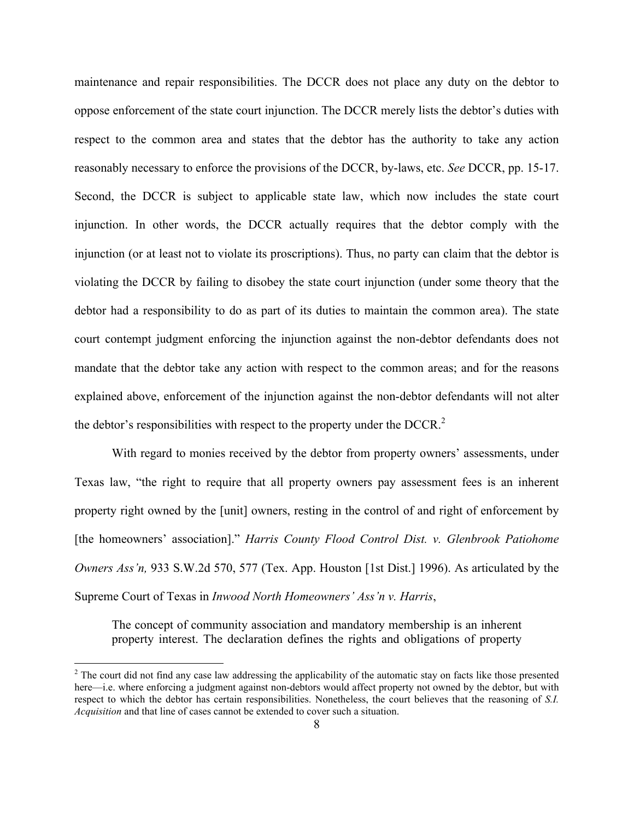maintenance and repair responsibilities. The DCCR does not place any duty on the debtor to oppose enforcement of the state court injunction. The DCCR merely lists the debtor's duties with respect to the common area and states that the debtor has the authority to take any action reasonably necessary to enforce the provisions of the DCCR, by-laws, etc. *See* DCCR, pp. 15-17. Second, the DCCR is subject to applicable state law, which now includes the state court injunction. In other words, the DCCR actually requires that the debtor comply with the injunction (or at least not to violate its proscriptions). Thus, no party can claim that the debtor is violating the DCCR by failing to disobey the state court injunction (under some theory that the debtor had a responsibility to do as part of its duties to maintain the common area). The state court contempt judgment enforcing the injunction against the non-debtor defendants does not mandate that the debtor take any action with respect to the common areas; and for the reasons explained above, enforcement of the injunction against the non-debtor defendants will not alter the debtor's responsibilities with respect to the property under the DCCR. $<sup>2</sup>$ </sup>

With regard to monies received by the debtor from property owners' assessments, under Texas law, "the right to require that all property owners pay assessment fees is an inherent property right owned by the [unit] owners, resting in the control of and right of enforcement by [the homeowners' association]." *Harris County Flood Control Dist. v. Glenbrook Patiohome Owners Ass'n,* 933 S.W.2d 570, 577 (Tex. App. Houston [1st Dist.] 1996). As articulated by the Supreme Court of Texas in *Inwood North Homeowners' Ass'n v. Harris*,

The concept of community association and mandatory membership is an inherent property interest. The declaration defines the rights and obligations of property

 $\frac{1}{2}$ <sup>2</sup> The court did not find any case law addressing the applicability of the automatic stay on facts like those presented here—i.e. where enforcing a judgment against non-debtors would affect property not owned by the debtor, but with respect to which the debtor has certain responsibilities. Nonetheless, the court believes that the reasoning of *S.I. Acquisition* and that line of cases cannot be extended to cover such a situation.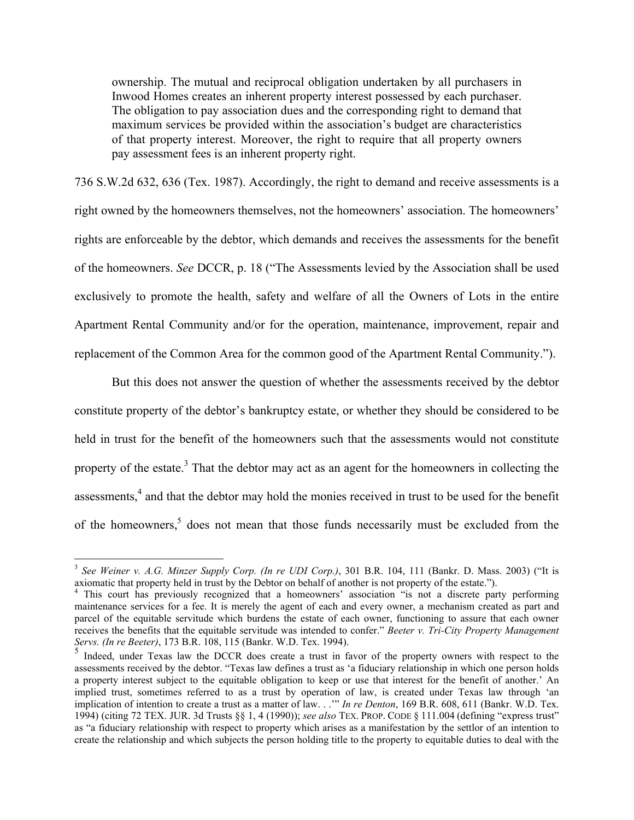ownership. The mutual and reciprocal obligation undertaken by all purchasers in Inwood Homes creates an inherent property interest possessed by each purchaser. The obligation to pay association dues and the corresponding right to demand that maximum services be provided within the association's budget are characteristics of that property interest. Moreover, the right to require that all property owners pay assessment fees is an inherent property right.

736 S.W.2d 632, 636 (Tex. 1987). Accordingly, the right to demand and receive assessments is a right owned by the homeowners themselves, not the homeowners' association. The homeowners' rights are enforceable by the debtor, which demands and receives the assessments for the benefit of the homeowners. *See* DCCR, p. 18 ("The Assessments levied by the Association shall be used exclusively to promote the health, safety and welfare of all the Owners of Lots in the entire Apartment Rental Community and/or for the operation, maintenance, improvement, repair and replacement of the Common Area for the common good of the Apartment Rental Community.").

But this does not answer the question of whether the assessments received by the debtor constitute property of the debtor's bankruptcy estate, or whether they should be considered to be held in trust for the benefit of the homeowners such that the assessments would not constitute property of the estate.<sup>3</sup> That the debtor may act as an agent for the homeowners in collecting the assessments,<sup>4</sup> and that the debtor may hold the monies received in trust to be used for the benefit of the homeowners, $5$  does not mean that those funds necessarily must be excluded from the

 <sup>3</sup> *See Weiner v. A.G. Minzer Supply Corp. (In re UDI Corp.)*, 301 B.R. 104, 111 (Bankr. D. Mass. 2003) ("It is axiomatic that property held in trust by the Debtor on behalf of another is not property of the estate.").

<sup>&</sup>lt;sup>4</sup> This court has previously recognized that a homeowners' association "is not a discrete party performing maintenance services for a fee. It is merely the agent of each and every owner, a mechanism created as part and parcel of the equitable servitude which burdens the estate of each owner, functioning to assure that each owner receives the benefits that the equitable servitude was intended to confer." *Beeter v. Tri-City Property Management Servs. (In re Beeter)*, 173 B.R. 108, 115 (Bankr. W.D. Tex. 1994).<br><sup>5</sup> Indeed, under Texas law the DCCR does create a trust in favor of the property owners with respect to the

assessments received by the debtor. "Texas law defines a trust as 'a fiduciary relationship in which one person holds a property interest subject to the equitable obligation to keep or use that interest for the benefit of another.' An implied trust, sometimes referred to as a trust by operation of law, is created under Texas law through 'an implication of intention to create a trust as a matter of law. . .'" *In re Denton*, 169 B.R. 608, 611 (Bankr. W.D. Tex. 1994) (citing 72 TEX. JUR. 3d Trusts §§ 1, 4 (1990)); *see also* TEX. PROP. CODE § 111.004 (defining "express trust" as "a fiduciary relationship with respect to property which arises as a manifestation by the settlor of an intention to create the relationship and which subjects the person holding title to the property to equitable duties to deal with the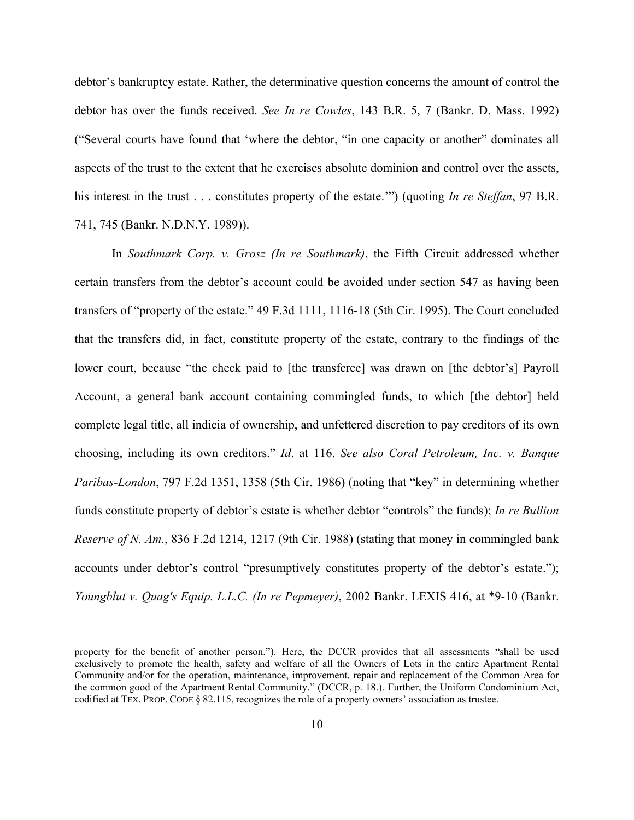debtor's bankruptcy estate. Rather, the determinative question concerns the amount of control the debtor has over the funds received. *See In re Cowles*, 143 B.R. 5, 7 (Bankr. D. Mass. 1992) ("Several courts have found that 'where the debtor, "in one capacity or another" dominates all aspects of the trust to the extent that he exercises absolute dominion and control over the assets, his interest in the trust . . . constitutes property of the estate.'") (quoting *In re Steffan*, 97 B.R. 741, 745 (Bankr. N.D.N.Y. 1989)).

In *Southmark Corp. v. Grosz (In re Southmark)*, the Fifth Circuit addressed whether certain transfers from the debtor's account could be avoided under section 547 as having been transfers of "property of the estate." 49 F.3d 1111, 1116-18 (5th Cir. 1995). The Court concluded that the transfers did, in fact, constitute property of the estate, contrary to the findings of the lower court, because "the check paid to [the transferee] was drawn on [the debtor's] Payroll Account, a general bank account containing commingled funds, to which [the debtor] held complete legal title, all indicia of ownership, and unfettered discretion to pay creditors of its own choosing, including its own creditors." *Id*. at 116. *See also Coral Petroleum, Inc. v. Banque Paribas-London*, 797 F.2d 1351, 1358 (5th Cir. 1986) (noting that "key" in determining whether funds constitute property of debtor's estate is whether debtor "controls" the funds); *In re Bullion Reserve of N. Am.*, 836 F.2d 1214, 1217 (9th Cir. 1988) (stating that money in commingled bank accounts under debtor's control "presumptively constitutes property of the debtor's estate."); *Youngblut v. Quag's Equip. L.L.C. (In re Pepmeyer)*, 2002 Bankr. LEXIS 416, at \*9-10 (Bankr.

property for the benefit of another person."). Here, the DCCR provides that all assessments "shall be used exclusively to promote the health, safety and welfare of all the Owners of Lots in the entire Apartment Rental Community and/or for the operation, maintenance, improvement, repair and replacement of the Common Area for the common good of the Apartment Rental Community." (DCCR, p. 18.). Further, the Uniform Condominium Act, codified at TEX. PROP. CODE § 82.115, recognizes the role of a property owners' association as trustee.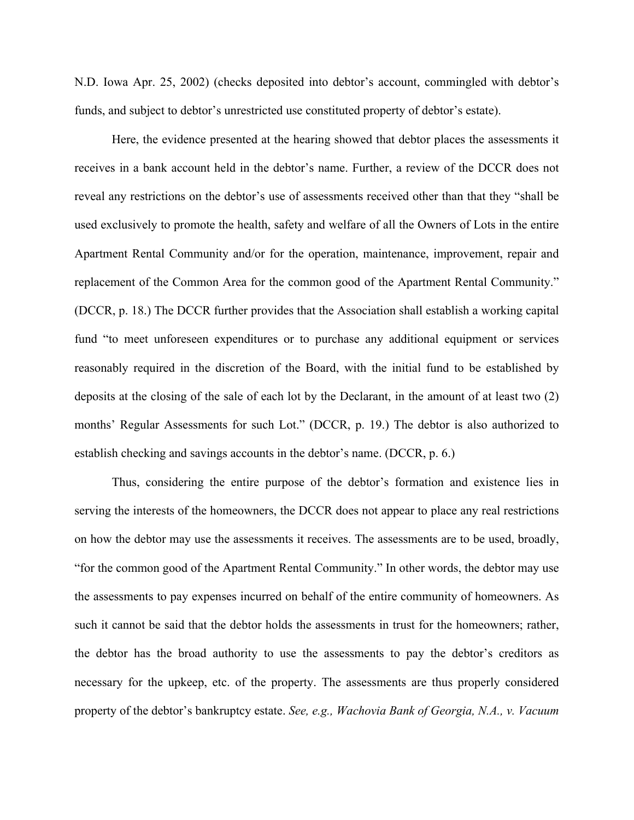N.D. Iowa Apr. 25, 2002) (checks deposited into debtor's account, commingled with debtor's funds, and subject to debtor's unrestricted use constituted property of debtor's estate).

Here, the evidence presented at the hearing showed that debtor places the assessments it receives in a bank account held in the debtor's name. Further, a review of the DCCR does not reveal any restrictions on the debtor's use of assessments received other than that they "shall be used exclusively to promote the health, safety and welfare of all the Owners of Lots in the entire Apartment Rental Community and/or for the operation, maintenance, improvement, repair and replacement of the Common Area for the common good of the Apartment Rental Community." (DCCR, p. 18.) The DCCR further provides that the Association shall establish a working capital fund "to meet unforeseen expenditures or to purchase any additional equipment or services reasonably required in the discretion of the Board, with the initial fund to be established by deposits at the closing of the sale of each lot by the Declarant, in the amount of at least two (2) months' Regular Assessments for such Lot." (DCCR, p. 19.) The debtor is also authorized to establish checking and savings accounts in the debtor's name. (DCCR, p. 6.)

Thus, considering the entire purpose of the debtor's formation and existence lies in serving the interests of the homeowners, the DCCR does not appear to place any real restrictions on how the debtor may use the assessments it receives. The assessments are to be used, broadly, "for the common good of the Apartment Rental Community." In other words, the debtor may use the assessments to pay expenses incurred on behalf of the entire community of homeowners. As such it cannot be said that the debtor holds the assessments in trust for the homeowners; rather, the debtor has the broad authority to use the assessments to pay the debtor's creditors as necessary for the upkeep, etc. of the property. The assessments are thus properly considered property of the debtor's bankruptcy estate. *See, e.g., Wachovia Bank of Georgia, N.A., v. Vacuum*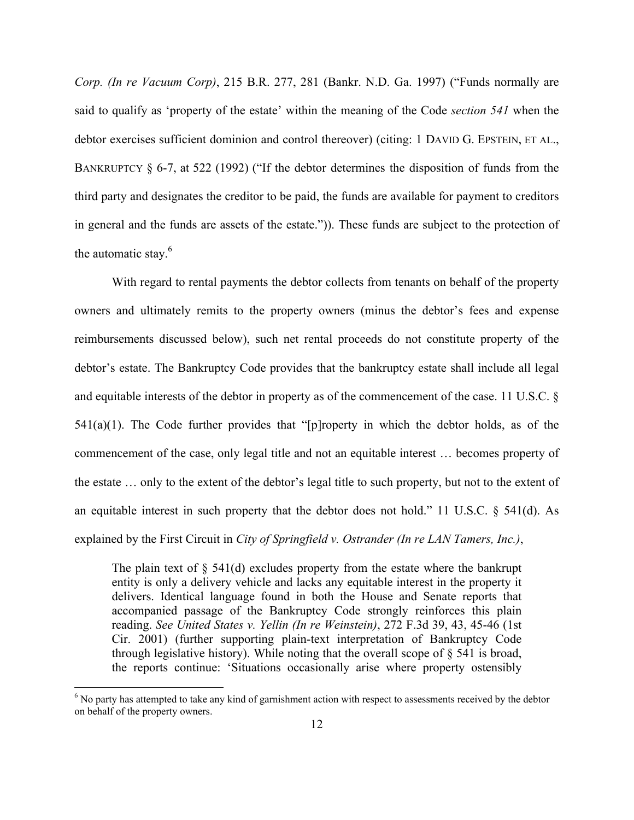*Corp. (In re Vacuum Corp)*, 215 B.R. 277, 281 (Bankr. N.D. Ga. 1997) ("Funds normally are said to qualify as 'property of the estate' within the meaning of the Code *section 541* when the debtor exercises sufficient dominion and control thereover) (citing: 1 DAVID G. EPSTEIN, ET AL., BANKRUPTCY § 6-7, at 522 (1992) ("If the debtor determines the disposition of funds from the third party and designates the creditor to be paid, the funds are available for payment to creditors in general and the funds are assets of the estate.")). These funds are subject to the protection of the automatic stay.<sup>6</sup>

With regard to rental payments the debtor collects from tenants on behalf of the property owners and ultimately remits to the property owners (minus the debtor's fees and expense reimbursements discussed below), such net rental proceeds do not constitute property of the debtor's estate. The Bankruptcy Code provides that the bankruptcy estate shall include all legal and equitable interests of the debtor in property as of the commencement of the case. 11 U.S.C. §  $541(a)(1)$ . The Code further provides that "[p]roperty in which the debtor holds, as of the commencement of the case, only legal title and not an equitable interest … becomes property of the estate … only to the extent of the debtor's legal title to such property, but not to the extent of an equitable interest in such property that the debtor does not hold." 11 U.S.C. § 541(d). As explained by the First Circuit in *City of Springfield v. Ostrander (In re LAN Tamers, Inc.)*,

The plain text of  $\S$  541(d) excludes property from the estate where the bankrupt entity is only a delivery vehicle and lacks any equitable interest in the property it delivers. Identical language found in both the House and Senate reports that accompanied passage of the Bankruptcy Code strongly reinforces this plain reading. *See United States v. Yellin (In re Weinstein)*, 272 F.3d 39, 43, 45-46 (1st Cir. 2001) (further supporting plain-text interpretation of Bankruptcy Code through legislative history). While noting that the overall scope of  $\S$  541 is broad, the reports continue: 'Situations occasionally arise where property ostensibly

 $\frac{1}{6}$  $6$  No party has attempted to take any kind of garnishment action with respect to assessments received by the debtor on behalf of the property owners.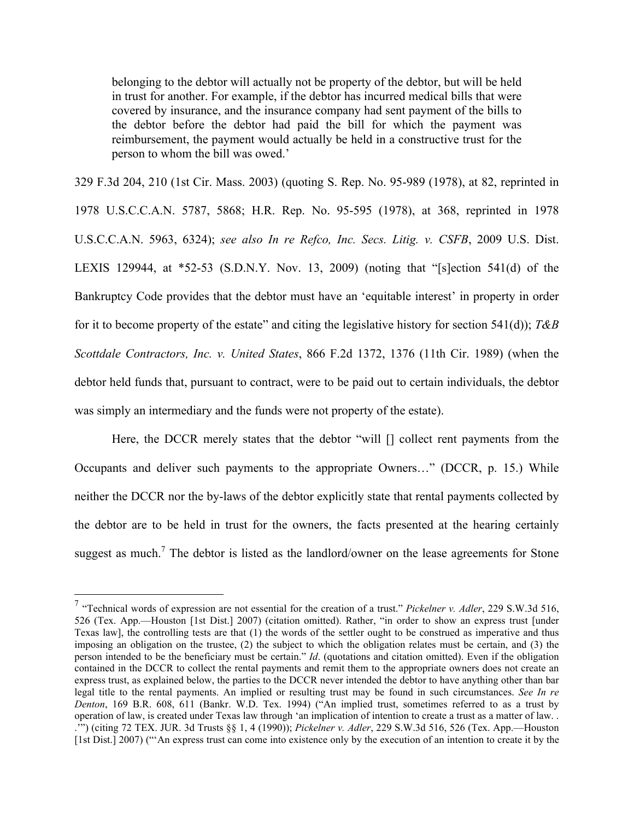belonging to the debtor will actually not be property of the debtor, but will be held in trust for another. For example, if the debtor has incurred medical bills that were covered by insurance, and the insurance company had sent payment of the bills to the debtor before the debtor had paid the bill for which the payment was reimbursement, the payment would actually be held in a constructive trust for the person to whom the bill was owed.'

329 F.3d 204, 210 (1st Cir. Mass. 2003) (quoting S. Rep. No. 95-989 (1978), at 82, reprinted in 1978 U.S.C.C.A.N. 5787, 5868; H.R. Rep. No. 95-595 (1978), at 368, reprinted in 1978 U.S.C.C.A.N. 5963, 6324); *see also In re Refco, Inc. Secs. Litig. v. CSFB*, 2009 U.S. Dist. LEXIS 129944, at \*52-53 (S.D.N.Y. Nov. 13, 2009) (noting that "[s]ection 541(d) of the Bankruptcy Code provides that the debtor must have an 'equitable interest' in property in order for it to become property of the estate" and citing the legislative history for section 541(d)); *T&B Scottdale Contractors, Inc. v. United States*, 866 F.2d 1372, 1376 (11th Cir. 1989) (when the debtor held funds that, pursuant to contract, were to be paid out to certain individuals, the debtor was simply an intermediary and the funds were not property of the estate).

Here, the DCCR merely states that the debtor "will [] collect rent payments from the Occupants and deliver such payments to the appropriate Owners…" (DCCR, p. 15.) While neither the DCCR nor the by-laws of the debtor explicitly state that rental payments collected by the debtor are to be held in trust for the owners, the facts presented at the hearing certainly suggest as much.<sup>7</sup> The debtor is listed as the landlord/owner on the lease agreements for Stone

 <sup>7</sup> "Technical words of expression are not essential for the creation of a trust." *Pickelner v. Adler*, 229 S.W.3d 516, 526 (Tex. App.—Houston [1st Dist.] 2007) (citation omitted). Rather, "in order to show an express trust [under Texas law], the controlling tests are that (1) the words of the settler ought to be construed as imperative and thus imposing an obligation on the trustee, (2) the subject to which the obligation relates must be certain, and (3) the person intended to be the beneficiary must be certain." *Id*. (quotations and citation omitted). Even if the obligation contained in the DCCR to collect the rental payments and remit them to the appropriate owners does not create an express trust, as explained below, the parties to the DCCR never intended the debtor to have anything other than bar legal title to the rental payments. An implied or resulting trust may be found in such circumstances. *See In re Denton*, 169 B.R. 608, 611 (Bankr. W.D. Tex. 1994) ("An implied trust, sometimes referred to as a trust by operation of law, is created under Texas law through 'an implication of intention to create a trust as a matter of law. . .'") (citing 72 TEX. JUR. 3d Trusts §§ 1, 4 (1990)); *Pickelner v. Adler*, 229 S.W.3d 516, 526 (Tex. App.—Houston [1st Dist.] 2007) ("'An express trust can come into existence only by the execution of an intention to create it by the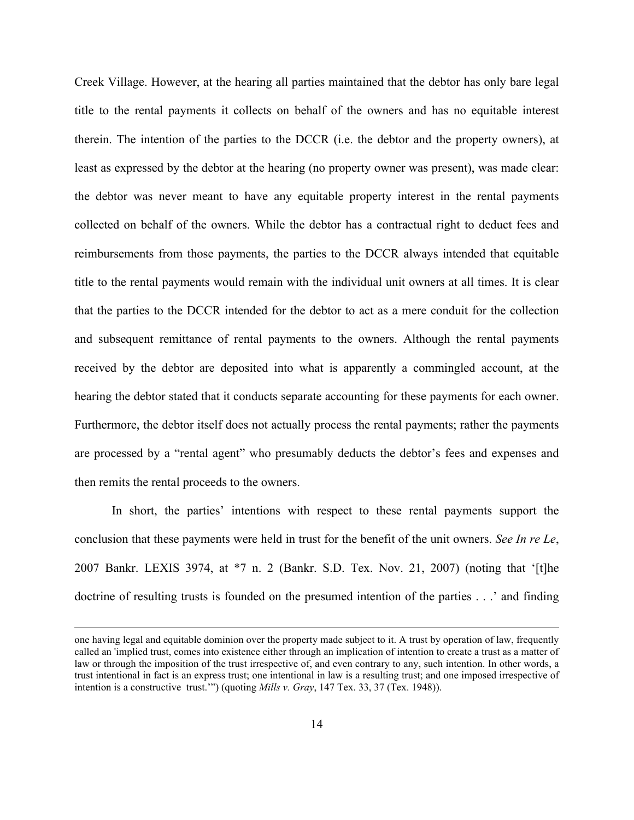Creek Village. However, at the hearing all parties maintained that the debtor has only bare legal title to the rental payments it collects on behalf of the owners and has no equitable interest therein. The intention of the parties to the DCCR (i.e. the debtor and the property owners), at least as expressed by the debtor at the hearing (no property owner was present), was made clear: the debtor was never meant to have any equitable property interest in the rental payments collected on behalf of the owners. While the debtor has a contractual right to deduct fees and reimbursements from those payments, the parties to the DCCR always intended that equitable title to the rental payments would remain with the individual unit owners at all times. It is clear that the parties to the DCCR intended for the debtor to act as a mere conduit for the collection and subsequent remittance of rental payments to the owners. Although the rental payments received by the debtor are deposited into what is apparently a commingled account, at the hearing the debtor stated that it conducts separate accounting for these payments for each owner. Furthermore, the debtor itself does not actually process the rental payments; rather the payments are processed by a "rental agent" who presumably deducts the debtor's fees and expenses and then remits the rental proceeds to the owners.

In short, the parties' intentions with respect to these rental payments support the conclusion that these payments were held in trust for the benefit of the unit owners. *See In re Le*, 2007 Bankr. LEXIS 3974, at \*7 n. 2 (Bankr. S.D. Tex. Nov. 21, 2007) (noting that '[t]he doctrine of resulting trusts is founded on the presumed intention of the parties . . .' and finding

one having legal and equitable dominion over the property made subject to it. A trust by operation of law, frequently called an 'implied trust, comes into existence either through an implication of intention to create a trust as a matter of law or through the imposition of the trust irrespective of, and even contrary to any, such intention. In other words, a trust intentional in fact is an express trust; one intentional in law is a resulting trust; and one imposed irrespective of intention is a constructive trust.'") (quoting *Mills v. Gray*, 147 Tex. 33, 37 (Tex. 1948)).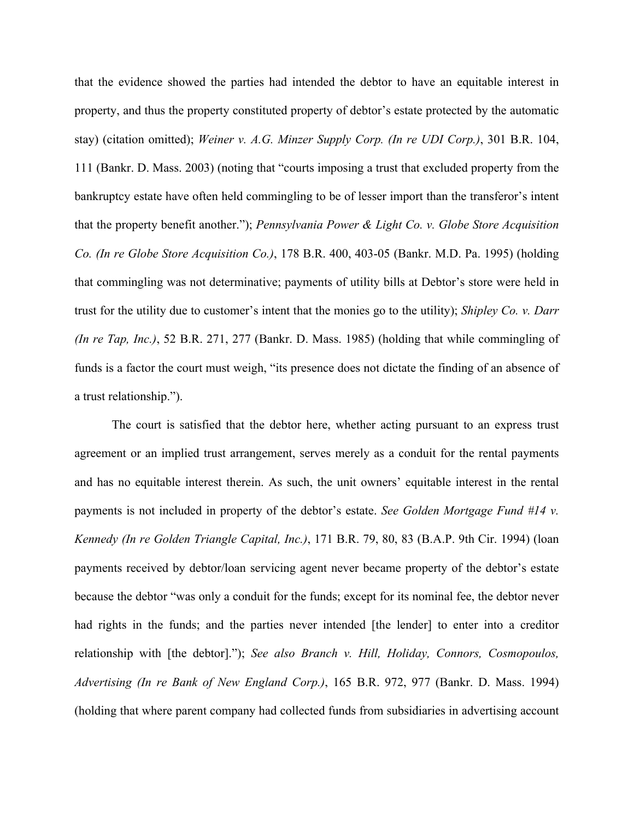that the evidence showed the parties had intended the debtor to have an equitable interest in property, and thus the property constituted property of debtor's estate protected by the automatic stay) (citation omitted); *Weiner v. A.G. Minzer Supply Corp. (In re UDI Corp.)*, 301 B.R. 104, 111 (Bankr. D. Mass. 2003) (noting that "courts imposing a trust that excluded property from the bankruptcy estate have often held commingling to be of lesser import than the transferor's intent that the property benefit another."); *Pennsylvania Power & Light Co. v. Globe Store Acquisition Co. (In re Globe Store Acquisition Co.)*, 178 B.R. 400, 403-05 (Bankr. M.D. Pa. 1995) (holding that commingling was not determinative; payments of utility bills at Debtor's store were held in trust for the utility due to customer's intent that the monies go to the utility); *Shipley Co. v. Darr (In re Tap, Inc.)*, 52 B.R. 271, 277 (Bankr. D. Mass. 1985) (holding that while commingling of funds is a factor the court must weigh, "its presence does not dictate the finding of an absence of a trust relationship.").

The court is satisfied that the debtor here, whether acting pursuant to an express trust agreement or an implied trust arrangement, serves merely as a conduit for the rental payments and has no equitable interest therein. As such, the unit owners' equitable interest in the rental payments is not included in property of the debtor's estate. *See Golden Mortgage Fund #14 v. Kennedy (In re Golden Triangle Capital, Inc.)*, 171 B.R. 79, 80, 83 (B.A.P. 9th Cir. 1994) (loan payments received by debtor/loan servicing agent never became property of the debtor's estate because the debtor "was only a conduit for the funds; except for its nominal fee, the debtor never had rights in the funds; and the parties never intended [the lender] to enter into a creditor relationship with [the debtor]."); *See also Branch v. Hill, Holiday, Connors, Cosmopoulos, Advertising (In re Bank of New England Corp.)*, 165 B.R. 972, 977 (Bankr. D. Mass. 1994) (holding that where parent company had collected funds from subsidiaries in advertising account